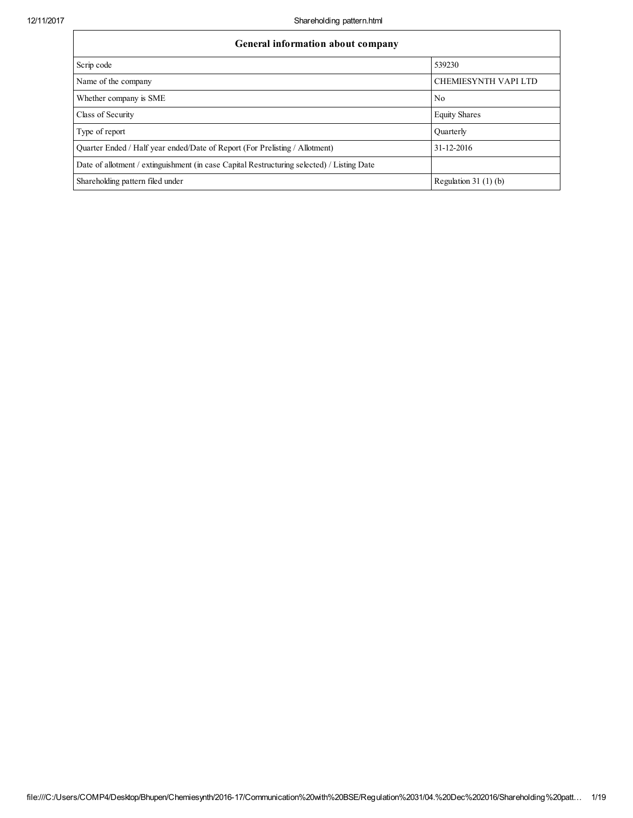| General information about company                                                          |                             |  |  |  |  |
|--------------------------------------------------------------------------------------------|-----------------------------|--|--|--|--|
| Scrip code                                                                                 | 539230                      |  |  |  |  |
| Name of the company                                                                        | <b>CHEMIESYNTH VAPI LTD</b> |  |  |  |  |
| Whether company is SME                                                                     | N <sub>0</sub>              |  |  |  |  |
| Class of Security                                                                          | <b>Equity Shares</b>        |  |  |  |  |
| Type of report                                                                             | <b>Quarterly</b>            |  |  |  |  |
| Quarter Ended / Half year ended/Date of Report (For Prelisting / Allotment)                | 31-12-2016                  |  |  |  |  |
| Date of allotment / extinguishment (in case Capital Restructuring selected) / Listing Date |                             |  |  |  |  |
| Shareholding pattern filed under                                                           | Regulation 31 $(1)(b)$      |  |  |  |  |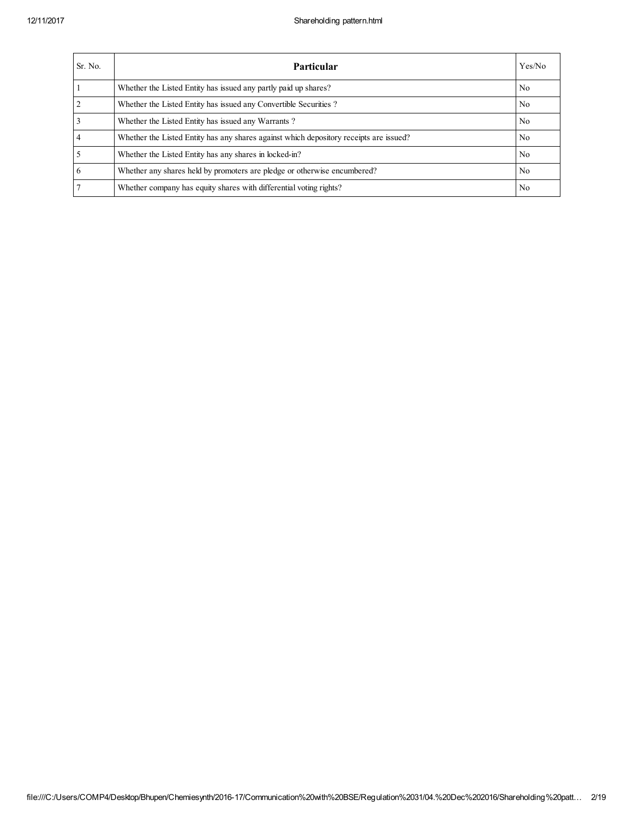| Sr. No.        | Particular                                                                             | Yes/No         |
|----------------|----------------------------------------------------------------------------------------|----------------|
|                | Whether the Listed Entity has issued any partly paid up shares?                        | No.            |
| $\overline{2}$ | Whether the Listed Entity has issued any Convertible Securities?                       | No.            |
|                | Whether the Listed Entity has issued any Warrants?                                     | No.            |
| $\overline{4}$ | Whether the Listed Entity has any shares against which depository receipts are issued? | No.            |
|                | Whether the Listed Entity has any shares in locked-in?                                 | No.            |
| 6              | Whether any shares held by promoters are pledge or otherwise encumbered?               | No.            |
|                | Whether company has equity shares with differential voting rights?                     | N <sub>0</sub> |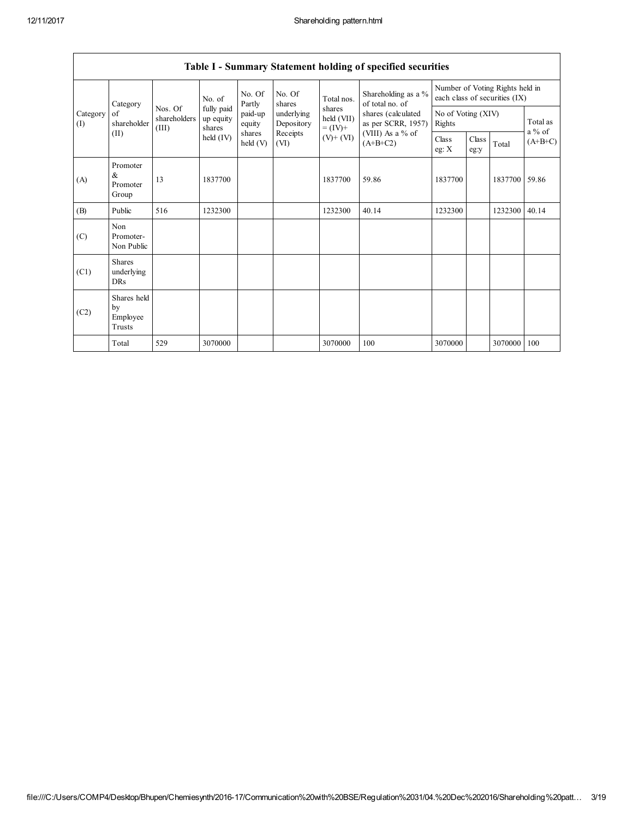|                 | Table 1 - Summary Statement holding of specified securities                                                                                                                                                                                                                                                    |                |                                                                            |                              |               |         |                                        |                                                                  |  |               |       |
|-----------------|----------------------------------------------------------------------------------------------------------------------------------------------------------------------------------------------------------------------------------------------------------------------------------------------------------------|----------------|----------------------------------------------------------------------------|------------------------------|---------------|---------|----------------------------------------|------------------------------------------------------------------|--|---------------|-------|
|                 | No. Of<br>No. Of<br>No. of<br>Total nos.<br>Partly<br>Category<br>shares<br>fully paid<br>Nos. Of<br>shares<br>paid-up<br>underlying<br>of<br>shareholders<br>up equity<br>shareholder<br>Depository<br>equity<br>$= (IV) +$<br>(III)<br>shares<br>shares<br>(II)<br>Receipts<br>held (IV)<br>held (V)<br>(VI) |                |                                                                            |                              |               |         | Shareholding as a %<br>of total no. of | Number of Voting Rights held in<br>each class of securities (IX) |  |               |       |
| Category<br>(1) |                                                                                                                                                                                                                                                                                                                | held (VII)     | shares (calculated<br>as per SCRR, 1957)<br>(VIII) As a % of<br>$(A+B+C2)$ | No of Voting (XIV)<br>Rights |               |         | Total as                               |                                                                  |  |               |       |
|                 |                                                                                                                                                                                                                                                                                                                | $(V)$ + $(VI)$ |                                                                            | Class<br>eg: X               | Class<br>eg:y | Total   | $a\%$ of<br>$(A+B+C)$                  |                                                                  |  |               |       |
| (A)             | Promoter<br>&<br>Promoter<br>Group                                                                                                                                                                                                                                                                             | 13             | 1837700                                                                    |                              |               | 1837700 | 59.86                                  | 1837700                                                          |  | 1837700 59.86 |       |
| (B)             | Public                                                                                                                                                                                                                                                                                                         | 516            | 1232300                                                                    |                              |               | 1232300 | 40.14                                  | 1232300                                                          |  | 1232300       | 40.14 |
| (C)             | Non<br>Promoter-<br>Non Public                                                                                                                                                                                                                                                                                 |                |                                                                            |                              |               |         |                                        |                                                                  |  |               |       |
| (C1)            | <b>Shares</b><br>underlying<br><b>DRs</b>                                                                                                                                                                                                                                                                      |                |                                                                            |                              |               |         |                                        |                                                                  |  |               |       |
| (C2)            | Shares held<br>by<br>Employee<br>Trusts                                                                                                                                                                                                                                                                        |                |                                                                            |                              |               |         |                                        |                                                                  |  |               |       |
|                 | Total                                                                                                                                                                                                                                                                                                          | 529            | 3070000                                                                    |                              |               | 3070000 | 100                                    | 3070000                                                          |  | 3070000       | 100   |

# Table I - Summary Statement holding of specified securities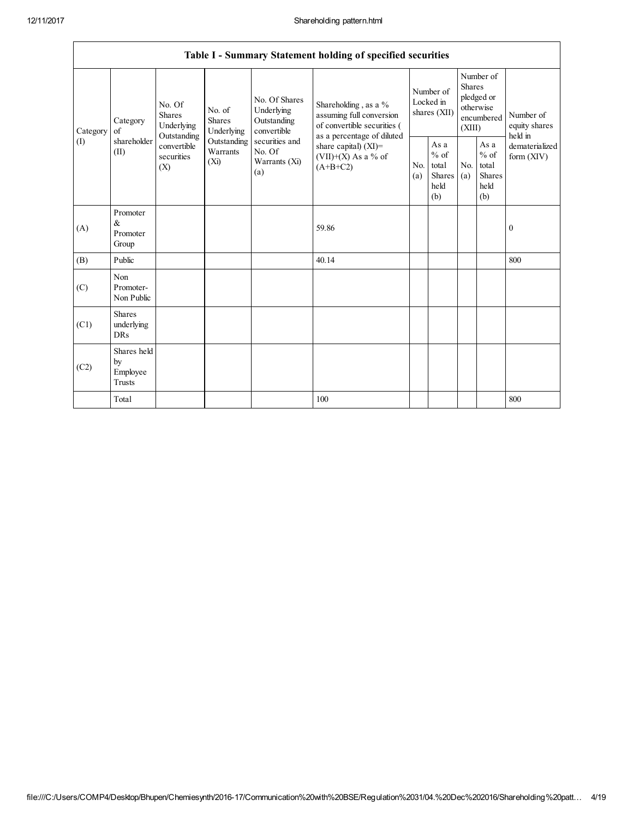|          |                                                |                                                 |                                                                                                    |                                                  | Table I - Summary Statement holding of specified securities                                  |            |                                                         |            |                                                                               |                                       |
|----------|------------------------------------------------|-------------------------------------------------|----------------------------------------------------------------------------------------------------|--------------------------------------------------|----------------------------------------------------------------------------------------------|------------|---------------------------------------------------------|------------|-------------------------------------------------------------------------------|---------------------------------------|
| Category | Category<br>of                                 | No. Of<br><b>Shares</b><br>Underlying           | No. Of Shares<br>No. of<br>Underlying<br><b>Shares</b><br>Outstanding<br>Underlying<br>convertible |                                                  | Shareholding, as a %<br>assuming full conversion<br>of convertible securities (              |            | Number of<br>Locked in<br>shares (XII)                  |            | Number of<br><b>Shares</b><br>pledged or<br>otherwise<br>encumbered<br>(XIII) | Number of<br>equity shares<br>held in |
| (I)      | shareholder<br>(II)                            | Outstanding<br>convertible<br>securities<br>(X) | Outstanding<br>Warrants<br>(Xi)                                                                    | securities and<br>No. Of<br>Warrants (Xi)<br>(a) | as a percentage of diluted<br>share capital) $(XI)$ =<br>$(VII)+(X)$ As a % of<br>$(A+B+C2)$ | No.<br>(a) | As a<br>$%$ of<br>total<br><b>Shares</b><br>held<br>(b) | No.<br>(a) | As a<br>$%$ of<br>total<br><b>Shares</b><br>held<br>(b)                       | dematerialized<br>form $(XIV)$        |
| (A)      | Promoter<br>$\&$<br>Promoter<br>Group          |                                                 |                                                                                                    |                                                  | 59.86                                                                                        |            |                                                         |            |                                                                               | $\boldsymbol{0}$                      |
| (B)      | Public                                         |                                                 |                                                                                                    |                                                  | 40.14                                                                                        |            |                                                         |            |                                                                               | 800                                   |
| (C)      | Non<br>Promoter-<br>Non Public                 |                                                 |                                                                                                    |                                                  |                                                                                              |            |                                                         |            |                                                                               |                                       |
| (C1)     | <b>Shares</b><br>underlying<br>DRs             |                                                 |                                                                                                    |                                                  |                                                                                              |            |                                                         |            |                                                                               |                                       |
| (C2)     | Shares held<br>by<br>Employee<br><b>Trusts</b> |                                                 |                                                                                                    |                                                  |                                                                                              |            |                                                         |            |                                                                               |                                       |
|          | Total                                          |                                                 |                                                                                                    |                                                  | 100                                                                                          |            |                                                         |            |                                                                               | 800                                   |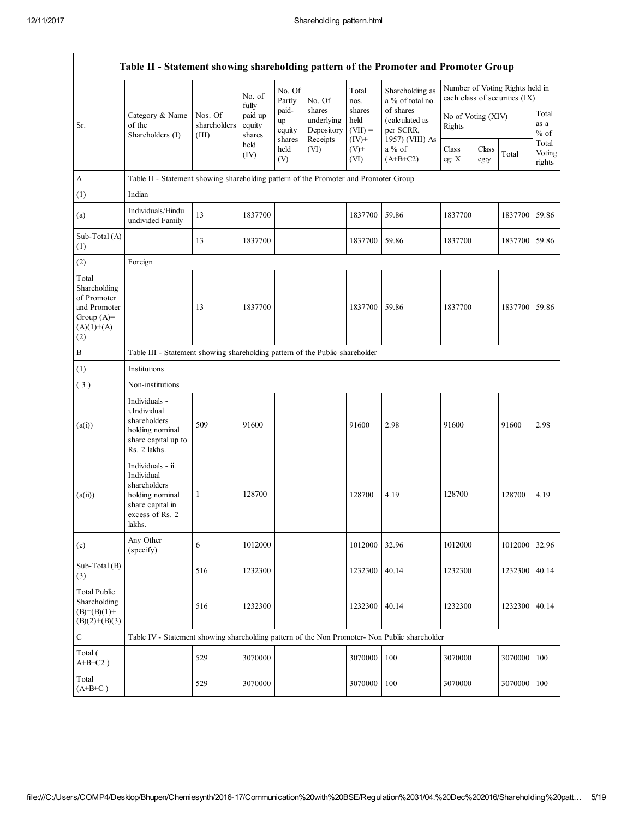|                                                                                             | Table II - Statement showing shareholding pattern of the Promoter and Promoter Group                                |                                  |                             |                                 |                                                |                                         |                                                             |                                                                  |               |         |                           |
|---------------------------------------------------------------------------------------------|---------------------------------------------------------------------------------------------------------------------|----------------------------------|-----------------------------|---------------------------------|------------------------------------------------|-----------------------------------------|-------------------------------------------------------------|------------------------------------------------------------------|---------------|---------|---------------------------|
|                                                                                             |                                                                                                                     |                                  | No. of<br>fully             | No. Of<br>Partly                | No. Of                                         | Total<br>nos.                           | Shareholding as<br>a % of total no.                         | Number of Voting Rights held in<br>each class of securities (IX) |               |         |                           |
| Sr.                                                                                         | Category & Name<br>of the<br>Shareholders (I)                                                                       | Nos. Of<br>shareholders<br>(III) | paid up<br>equity<br>shares | paid-<br>up<br>equity<br>shares | shares<br>underlying<br>Depository<br>Receipts | shares<br>held<br>$(VII) =$<br>$(IV)^+$ | of shares<br>(calculated as<br>per SCRR,<br>1957) (VIII) As | No of Voting (XIV)<br>Rights                                     |               |         | Total<br>as a<br>$%$ of   |
|                                                                                             |                                                                                                                     |                                  | held<br>(IV)                | held<br>(V)                     | (VI)                                           | $(V)+$<br>(VI)                          | a % of<br>$(A+B+C2)$                                        | Class<br>eg: X                                                   | Class<br>eg:y | Total   | Total<br>Voting<br>rights |
| A                                                                                           | Table II - Statement showing shareholding pattern of the Promoter and Promoter Group                                |                                  |                             |                                 |                                                |                                         |                                                             |                                                                  |               |         |                           |
| (1)                                                                                         | Indian                                                                                                              |                                  |                             |                                 |                                                |                                         |                                                             |                                                                  |               |         |                           |
| (a)                                                                                         | Individuals/Hindu<br>undivided Family                                                                               | 13                               | 1837700                     |                                 |                                                | 1837700                                 | 59.86                                                       | 1837700                                                          |               | 1837700 | 59.86                     |
| Sub-Total (A)<br>(1)                                                                        |                                                                                                                     | 13                               | 1837700                     |                                 |                                                | 1837700                                 | 59.86                                                       | 1837700                                                          |               | 1837700 | 59.86                     |
| (2)                                                                                         | Foreign                                                                                                             |                                  |                             |                                 |                                                |                                         |                                                             |                                                                  |               |         |                           |
| Total<br>Shareholding<br>of Promoter<br>and Promoter<br>Group $(A)=$<br>$(A)(1)+(A)$<br>(2) |                                                                                                                     | 13                               | 1837700                     |                                 |                                                | 1837700                                 | 59.86                                                       | 1837700                                                          |               | 1837700 | 59.86                     |
| $\, {\bf B}$                                                                                | Table III - Statement showing shareholding pattern of the Public shareholder                                        |                                  |                             |                                 |                                                |                                         |                                                             |                                                                  |               |         |                           |
| (1)                                                                                         | Institutions                                                                                                        |                                  |                             |                                 |                                                |                                         |                                                             |                                                                  |               |         |                           |
| (3)                                                                                         | Non-institutions                                                                                                    |                                  |                             |                                 |                                                |                                         |                                                             |                                                                  |               |         |                           |
| (a(i))                                                                                      | Individuals -<br>i.Individual<br>shareholders<br>holding nominal<br>share capital up to<br>Rs. 2 lakhs.             | 509                              | 91600                       |                                 |                                                | 91600                                   | 2.98                                                        | 91600                                                            |               | 91600   | 2.98                      |
| (a(ii))                                                                                     | Individuals - ii.<br>Individual<br>shareholders<br>holding nominal<br>share capital in<br>excess of Rs. 2<br>lakhs. | 1                                | 128700                      |                                 |                                                | 128700                                  | 4.19                                                        | 128700                                                           |               | 128700  | 4.19                      |
| (e)                                                                                         | Any Other<br>(specify)                                                                                              | 6                                | 1012000                     |                                 |                                                | 1012000                                 | 32.96                                                       | 1012000                                                          |               | 1012000 | 32.96                     |
| Sub-Total (B)<br>(3)                                                                        |                                                                                                                     | 516                              | 1232300                     |                                 |                                                | 1232300                                 | 40.14                                                       | 1232300                                                          |               | 1232300 | 40.14                     |
| <b>Total Public</b><br>Shareholding<br>$(B)= (B)(1) +$<br>$(B)(2)+(B)(3)$                   |                                                                                                                     | 516                              | 1232300                     |                                 |                                                | 1232300                                 | 40.14                                                       | 1232300                                                          |               | 1232300 | 40.14                     |
| ${\bf C}$                                                                                   | Table IV - Statement showing shareholding pattern of the Non Promoter- Non Public shareholder                       |                                  |                             |                                 |                                                |                                         |                                                             |                                                                  |               |         |                           |
| Total (<br>$A+B+C2$ )                                                                       |                                                                                                                     | 529                              | 3070000                     |                                 |                                                | 3070000                                 | 100                                                         | 3070000                                                          |               | 3070000 | 100                       |
| Total<br>$(A+B+C)$                                                                          |                                                                                                                     | 529                              | 3070000                     |                                 |                                                | 3070000                                 | 100                                                         | 3070000                                                          |               | 3070000 | 100                       |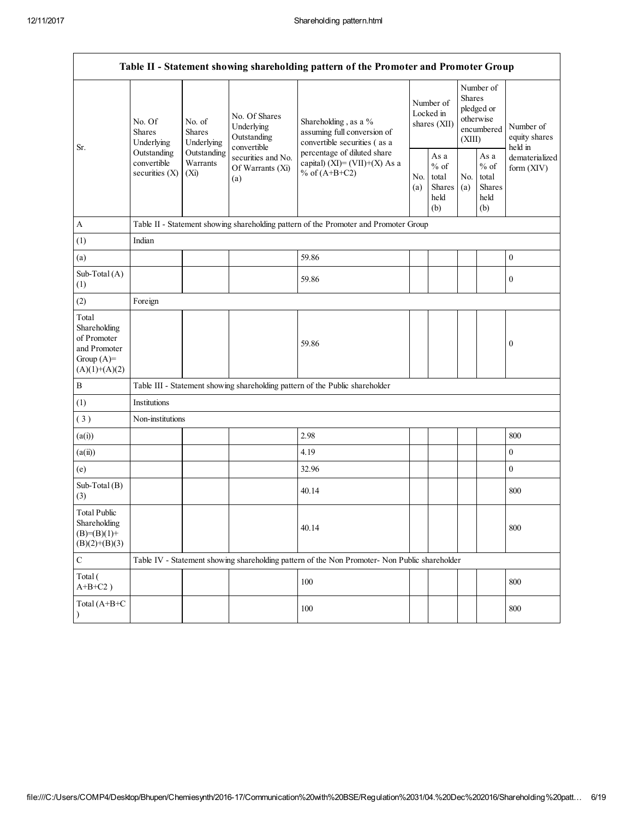|                                                                                                                                                                                                                                                                                             |                                                                                   |            | Table II - Statement showing shareholding pattern of the Promoter and Promoter Group          |            |                                                  |                              |                                                                        |                                       |
|---------------------------------------------------------------------------------------------------------------------------------------------------------------------------------------------------------------------------------------------------------------------------------------------|-----------------------------------------------------------------------------------|------------|-----------------------------------------------------------------------------------------------|------------|--------------------------------------------------|------------------------------|------------------------------------------------------------------------|---------------------------------------|
| No. Of Shares<br>No. Of<br>No. of<br>Underlying<br><b>Shares</b><br><b>Shares</b><br>Outstanding<br>Underlying<br>Underlying<br>convertible<br>Sr.<br>Outstanding<br>Outstanding<br>securities and No.<br>convertible<br>Warrants<br>Of Warrants (Xi)<br>securities $(X)$<br>$(X_i)$<br>(a) |                                                                                   |            | Shareholding, as a %<br>assuming full conversion of<br>convertible securities (as a           |            | Number of<br>Locked in<br>shares (XII)           |                              | Number of<br>Shares<br>pledged or<br>otherwise<br>encumbered<br>(XIII) | Number of<br>equity shares<br>held in |
|                                                                                                                                                                                                                                                                                             | percentage of diluted share<br>capital) (XI)= $(VII)+(X)$ As a<br>% of $(A+B+C2)$ | No.<br>(a) | As a<br>$%$ of<br>total<br>Shares<br>held<br>(b)                                              | No.<br>(a) | As a<br>$%$ of<br>total<br>Shares<br>held<br>(b) | dematerialized<br>form (XIV) |                                                                        |                                       |
| A                                                                                                                                                                                                                                                                                           |                                                                                   |            | Table II - Statement showing shareholding pattern of the Promoter and Promoter Group          |            |                                                  |                              |                                                                        |                                       |
| (1)                                                                                                                                                                                                                                                                                         | Indian                                                                            |            |                                                                                               |            |                                                  |                              |                                                                        |                                       |
| (a)                                                                                                                                                                                                                                                                                         |                                                                                   |            | 59.86                                                                                         |            |                                                  |                              |                                                                        | $\boldsymbol{0}$                      |
| Sub-Total (A)<br>(1)                                                                                                                                                                                                                                                                        |                                                                                   |            | 59.86                                                                                         |            |                                                  |                              |                                                                        | $\bf{0}$                              |
| (2)                                                                                                                                                                                                                                                                                         | Foreign                                                                           |            |                                                                                               |            |                                                  |                              |                                                                        |                                       |
| Total<br>Shareholding<br>of Promoter<br>and Promoter<br>Group $(A)=$<br>$(A)(1)+(A)(2)$                                                                                                                                                                                                     |                                                                                   |            | 59.86                                                                                         |            |                                                  |                              |                                                                        | $\boldsymbol{0}$                      |
| B                                                                                                                                                                                                                                                                                           |                                                                                   |            | Table III - Statement showing shareholding pattern of the Public shareholder                  |            |                                                  |                              |                                                                        |                                       |
| (1)                                                                                                                                                                                                                                                                                         | Institutions                                                                      |            |                                                                                               |            |                                                  |                              |                                                                        |                                       |
| (3)                                                                                                                                                                                                                                                                                         | Non-institutions                                                                  |            |                                                                                               |            |                                                  |                              |                                                                        |                                       |
| (a(i))                                                                                                                                                                                                                                                                                      |                                                                                   |            | 2.98                                                                                          |            |                                                  |                              |                                                                        | 800                                   |
| (a(ii))                                                                                                                                                                                                                                                                                     |                                                                                   |            | 4.19                                                                                          |            |                                                  |                              |                                                                        | $\boldsymbol{0}$                      |
| (e)                                                                                                                                                                                                                                                                                         |                                                                                   |            | 32.96                                                                                         |            |                                                  |                              |                                                                        | $\boldsymbol{0}$                      |
| Sub-Total (B)<br>(3)                                                                                                                                                                                                                                                                        |                                                                                   |            | 40.14                                                                                         |            |                                                  |                              |                                                                        | 800                                   |
| <b>Total Public</b><br>Shareholding<br>$(B)= (B)(1) +$<br>$(B)(2)+(B)(3)$                                                                                                                                                                                                                   |                                                                                   |            | 40.14                                                                                         |            |                                                  |                              |                                                                        | 800                                   |
| $\mathbf C$                                                                                                                                                                                                                                                                                 |                                                                                   |            | Table IV - Statement showing shareholding pattern of the Non Promoter- Non Public shareholder |            |                                                  |                              |                                                                        |                                       |
| Total (<br>$A+B+C2$ )                                                                                                                                                                                                                                                                       |                                                                                   |            | 100                                                                                           |            |                                                  |                              |                                                                        | 800                                   |
| Total (A+B+C<br>$\lambda$                                                                                                                                                                                                                                                                   |                                                                                   |            | 100                                                                                           |            |                                                  |                              |                                                                        | 800                                   |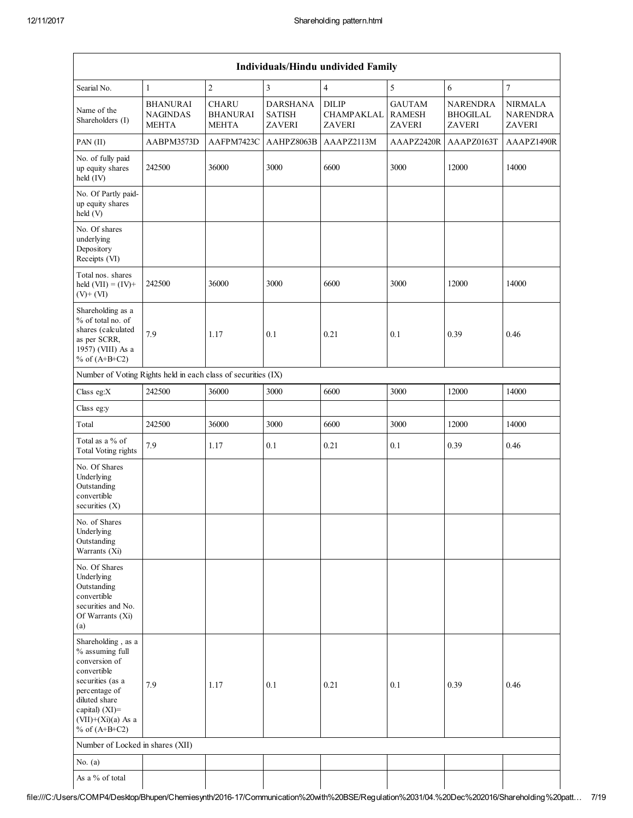|                                                                                                                                                                                             | Individuals/Hindu undivided Family                 |                                                 |                                                   |                                      |                                                 |                                                     |                                                    |
|---------------------------------------------------------------------------------------------------------------------------------------------------------------------------------------------|----------------------------------------------------|-------------------------------------------------|---------------------------------------------------|--------------------------------------|-------------------------------------------------|-----------------------------------------------------|----------------------------------------------------|
| Searial No.                                                                                                                                                                                 | 1                                                  | $\overline{c}$                                  | $\overline{\mathbf{3}}$                           | $\overline{4}$                       | 5                                               | 6                                                   | $\overline{7}$                                     |
| Name of the<br>Shareholders (I)                                                                                                                                                             | <b>BHANURAI</b><br><b>NAGINDAS</b><br><b>MEHTA</b> | <b>CHARU</b><br><b>BHANURAI</b><br><b>MEHTA</b> | <b>DARSHANA</b><br><b>SATISH</b><br><b>ZAVERI</b> | <b>DILIP</b><br>CHAMPAKLAL<br>ZAVERI | <b>GAUTAM</b><br><b>RAMESH</b><br><b>ZAVERI</b> | <b>NARENDRA</b><br><b>BHOGILAL</b><br><b>ZAVERI</b> | <b>NIRMALA</b><br><b>NARENDRA</b><br><b>ZAVERI</b> |
| PAN (II)                                                                                                                                                                                    | AABPM3573D                                         | AAFPM7423C                                      | AAHPZ8063B                                        | AAAPZ2113M                           | AAAPZ2420R                                      | AAAPZ0163T                                          | AAAPZ1490R                                         |
| No. of fully paid<br>up equity shares<br>held (IV)                                                                                                                                          | 242500                                             | 36000                                           | 3000                                              | 6600                                 | 3000                                            | 12000                                               | 14000                                              |
| No. Of Partly paid-<br>up equity shares<br>held (V)                                                                                                                                         |                                                    |                                                 |                                                   |                                      |                                                 |                                                     |                                                    |
| No. Of shares<br>underlying<br>Depository<br>Receipts (VI)                                                                                                                                  |                                                    |                                                 |                                                   |                                      |                                                 |                                                     |                                                    |
| Total nos. shares<br>held $(VII) = (IV) +$<br>$(V)$ + $(VI)$                                                                                                                                | 242500                                             | 36000                                           | 3000                                              | 6600                                 | 3000                                            | 12000                                               | 14000                                              |
| Shareholding as a<br>% of total no. of<br>shares (calculated<br>as per SCRR,<br>1957) (VIII) As a<br>% of $(A+B+C2)$                                                                        | 7.9                                                | 1.17                                            | 0.1                                               | 0.21                                 | 0.1                                             | 0.39                                                | 0.46                                               |
| Number of Voting Rights held in each class of securities (IX)                                                                                                                               |                                                    |                                                 |                                                   |                                      |                                                 |                                                     |                                                    |
| Class eg:X                                                                                                                                                                                  | 242500                                             | 36000                                           | 3000                                              | 6600                                 | 3000                                            | 12000                                               | 14000                                              |
| Class eg:y                                                                                                                                                                                  |                                                    |                                                 |                                                   |                                      |                                                 |                                                     |                                                    |
| Total                                                                                                                                                                                       | 242500                                             | 36000                                           | 3000                                              | 6600                                 | 3000                                            | 12000                                               | 14000                                              |
| Total as a % of<br><b>Total Voting rights</b>                                                                                                                                               | 7.9                                                | 1.17                                            | 0.1                                               | 0.21                                 | 0.1                                             | 0.39                                                | 0.46                                               |
| No. Of Shares<br>Underlying<br>Outstanding<br>convertible<br>securities $(X)$                                                                                                               |                                                    |                                                 |                                                   |                                      |                                                 |                                                     |                                                    |
| No. of Shares<br>Underlying<br>Outstanding<br>Warrants (Xi)                                                                                                                                 |                                                    |                                                 |                                                   |                                      |                                                 |                                                     |                                                    |
| No. Of Shares<br>Underlying<br>Outstanding<br>convertible<br>securities and No.<br>Of Warrants (Xi)<br>(a)                                                                                  |                                                    |                                                 |                                                   |                                      |                                                 |                                                     |                                                    |
| Shareholding, as a<br>% assuming full<br>conversion of<br>convertible<br>securities (as a<br>percentage of<br>diluted share<br>capital) $(XI)$ =<br>$(VII)+(Xi)(a)$ As a<br>% of $(A+B+C2)$ | 7.9                                                | 1.17                                            | 0.1                                               | 0.21                                 | 0.1                                             | 0.39                                                | 0.46                                               |
| Number of Locked in shares (XII)                                                                                                                                                            |                                                    |                                                 |                                                   |                                      |                                                 |                                                     |                                                    |
| No. $(a)$                                                                                                                                                                                   |                                                    |                                                 |                                                   |                                      |                                                 |                                                     |                                                    |
| As a % of total                                                                                                                                                                             |                                                    |                                                 |                                                   |                                      |                                                 |                                                     |                                                    |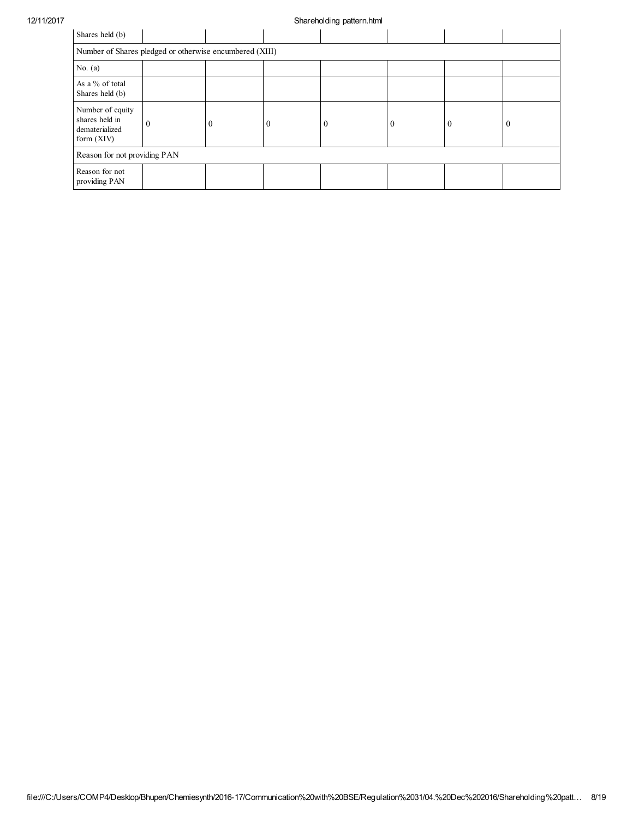## 12/11/2017 Shareholding pattern.html

| Shares held (b)                                                      |                              |          |   |          |          |          |   |
|----------------------------------------------------------------------|------------------------------|----------|---|----------|----------|----------|---|
| Number of Shares pledged or otherwise encumbered (XIII)              |                              |          |   |          |          |          |   |
| No. $(a)$                                                            |                              |          |   |          |          |          |   |
| As a % of total<br>Shares held (b)                                   |                              |          |   |          |          |          |   |
| Number of equity<br>shares held in<br>dematerialized<br>form $(XIV)$ | $\theta$                     | $\Omega$ | 0 | $\theta$ | $\Omega$ | $\Omega$ | 0 |
|                                                                      | Reason for not providing PAN |          |   |          |          |          |   |
| Reason for not<br>providing PAN                                      |                              |          |   |          |          |          |   |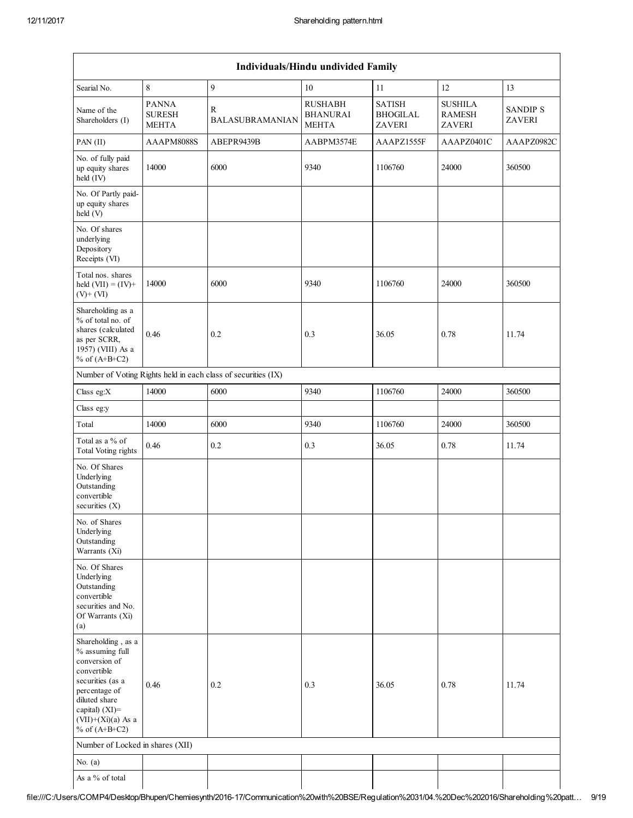|                                                                                                                                                                                             |                                               |                                                               | Individuals/Hindu undivided Family                |                                                   |                                           |                                  |
|---------------------------------------------------------------------------------------------------------------------------------------------------------------------------------------------|-----------------------------------------------|---------------------------------------------------------------|---------------------------------------------------|---------------------------------------------------|-------------------------------------------|----------------------------------|
| Searial No.                                                                                                                                                                                 | 8                                             | 9                                                             | $10\,$                                            | 11                                                | 12                                        | 13                               |
| Name of the<br>Shareholders (I)                                                                                                                                                             | <b>PANNA</b><br><b>SURESH</b><br><b>MEHTA</b> | R<br><b>BALASUBRAMANIAN</b>                                   | <b>RUSHABH</b><br><b>BHANURAI</b><br><b>MEHTA</b> | <b>SATISH</b><br><b>BHOGILAL</b><br><b>ZAVERI</b> | <b>SUSHILA</b><br><b>RAMESH</b><br>ZAVERI | <b>SANDIP S</b><br><b>ZAVERI</b> |
| PAN (II)                                                                                                                                                                                    | AAAPM8088S                                    | ABEPR9439B                                                    | AABPM3574E                                        | AAAPZ1555F                                        | AAAPZ0401C                                | AAAPZ0982C                       |
| No. of fully paid<br>up equity shares<br>held (IV)                                                                                                                                          | 14000                                         | 6000                                                          | 9340                                              | 1106760                                           | 24000                                     | 360500                           |
| No. Of Partly paid-<br>up equity shares<br>held (V)                                                                                                                                         |                                               |                                                               |                                                   |                                                   |                                           |                                  |
| No. Of shares<br>underlying<br>Depository<br>Receipts (VI)                                                                                                                                  |                                               |                                                               |                                                   |                                                   |                                           |                                  |
| Total nos. shares<br>held $(VII) = (IV) +$<br>$(V)+(VI)$                                                                                                                                    | 14000                                         | 6000                                                          | 9340                                              | 1106760                                           | 24000                                     | 360500                           |
| Shareholding as a<br>% of total no. of<br>shares (calculated<br>as per SCRR,<br>1957) (VIII) As a<br>% of $(A+B+C2)$                                                                        | 0.46                                          | 0.2                                                           | 0.3                                               | 36.05                                             | 0.78                                      | 11.74                            |
|                                                                                                                                                                                             |                                               | Number of Voting Rights held in each class of securities (IX) |                                                   |                                                   |                                           |                                  |
| Class eg:X                                                                                                                                                                                  | 14000                                         | 6000                                                          | 9340                                              | 1106760                                           | 24000                                     | 360500                           |
| Class eg:y                                                                                                                                                                                  |                                               |                                                               |                                                   |                                                   |                                           |                                  |
| Total                                                                                                                                                                                       | 14000                                         | 6000                                                          | 9340                                              | 1106760                                           | 24000                                     | 360500                           |
| Total as a % of<br>Total Voting rights                                                                                                                                                      | 0.46                                          | 0.2                                                           | 0.3                                               | 36.05                                             | 0.78                                      | 11.74                            |
| No. Of Shares<br>Underlying<br>Outstanding<br>convertible<br>securities $(X)$                                                                                                               |                                               |                                                               |                                                   |                                                   |                                           |                                  |
| No. of Shares<br>Underlying<br>Outstanding<br>Warrants (Xi)                                                                                                                                 |                                               |                                                               |                                                   |                                                   |                                           |                                  |
| No. Of Shares<br>Underlying<br>Outstanding<br>convertible<br>securities and No.<br>Of Warrants (Xi)<br>(a)                                                                                  |                                               |                                                               |                                                   |                                                   |                                           |                                  |
| Shareholding, as a<br>% assuming full<br>conversion of<br>convertible<br>securities (as a<br>percentage of<br>diluted share<br>capital) $(XI)$ =<br>$(VII)+(Xi)(a)$ As a<br>% of $(A+B+C2)$ | 0.46                                          | 0.2                                                           | 0.3                                               | 36.05                                             | 0.78                                      | 11.74                            |
| Number of Locked in shares (XII)                                                                                                                                                            |                                               |                                                               |                                                   |                                                   |                                           |                                  |
| No. $(a)$                                                                                                                                                                                   |                                               |                                                               |                                                   |                                                   |                                           |                                  |
| As a % of total                                                                                                                                                                             |                                               |                                                               |                                                   |                                                   |                                           |                                  |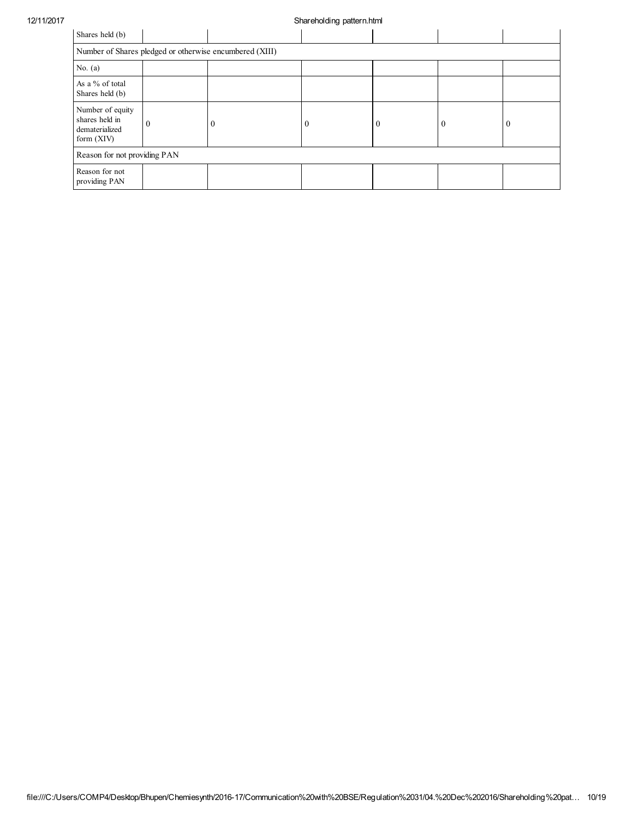## 12/11/2017 Shareholding pattern.html

| Shares held (b)                                                      |          |                                                         |          |          |              |   |
|----------------------------------------------------------------------|----------|---------------------------------------------------------|----------|----------|--------------|---|
|                                                                      |          | Number of Shares pledged or otherwise encumbered (XIII) |          |          |              |   |
| No. $(a)$                                                            |          |                                                         |          |          |              |   |
| As a % of total<br>Shares held (b)                                   |          |                                                         |          |          |              |   |
| Number of equity<br>shares held in<br>dematerialized<br>form $(XIV)$ | $\theta$ | $\mathbf{0}$                                            | $\Omega$ | $\Omega$ | $\mathbf{0}$ | ш |
| Reason for not providing PAN                                         |          |                                                         |          |          |              |   |
| Reason for not<br>providing PAN                                      |          |                                                         |          |          |              |   |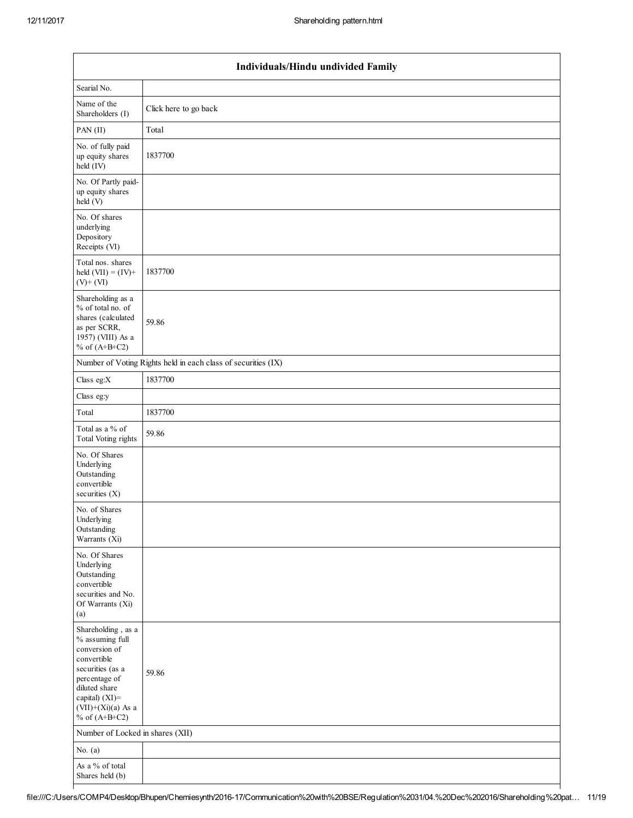|                                                                                                                                                                                          | Individuals/Hindu undivided Family                            |  |  |  |  |  |  |
|------------------------------------------------------------------------------------------------------------------------------------------------------------------------------------------|---------------------------------------------------------------|--|--|--|--|--|--|
| Searial No.                                                                                                                                                                              |                                                               |  |  |  |  |  |  |
| Name of the<br>Shareholders (I)                                                                                                                                                          | Click here to go back                                         |  |  |  |  |  |  |
| PAN(II)                                                                                                                                                                                  | Total                                                         |  |  |  |  |  |  |
| No. of fully paid<br>up equity shares<br>held (IV)                                                                                                                                       | 1837700                                                       |  |  |  |  |  |  |
| No. Of Partly paid-<br>up equity shares<br>held (V)                                                                                                                                      |                                                               |  |  |  |  |  |  |
| No. Of shares<br>underlying<br>Depository<br>Receipts (VI)                                                                                                                               |                                                               |  |  |  |  |  |  |
| Total nos. shares<br>held $(VII) = (IV) +$<br>$(V)$ + $(VI)$                                                                                                                             | 1837700                                                       |  |  |  |  |  |  |
| Shareholding as a<br>% of total no. of<br>shares (calculated<br>as per SCRR,<br>1957) (VIII) As a<br>% of $(A+B+C2)$                                                                     | 59.86                                                         |  |  |  |  |  |  |
|                                                                                                                                                                                          | Number of Voting Rights held in each class of securities (IX) |  |  |  |  |  |  |
| Class eg: $X$                                                                                                                                                                            | 1837700                                                       |  |  |  |  |  |  |
| Class eg:y                                                                                                                                                                               |                                                               |  |  |  |  |  |  |
| Total                                                                                                                                                                                    | 1837700                                                       |  |  |  |  |  |  |
| Total as a % of<br>Total Voting rights                                                                                                                                                   | 59.86                                                         |  |  |  |  |  |  |
| No. Of Shares<br>Underlying<br>Outstanding<br>convertible<br>securities $(X)$                                                                                                            |                                                               |  |  |  |  |  |  |
| No. of Shares<br>Underlying<br>Outstanding<br>Warrants (Xi)                                                                                                                              |                                                               |  |  |  |  |  |  |
| No. Of Shares<br>Underlying<br>Outstanding<br>convertible<br>securities and No.<br>Of Warrants (Xi)<br>(a)                                                                               |                                                               |  |  |  |  |  |  |
| Shareholding, as a<br>% assuming full<br>conversion of<br>convertible<br>securities (as a<br>percentage of<br>diluted share<br>capital) (XI)=<br>$(VII)+(Xi)(a)$ As a<br>% of $(A+B+C2)$ | 59.86                                                         |  |  |  |  |  |  |
| Number of Locked in shares (XII)                                                                                                                                                         |                                                               |  |  |  |  |  |  |
| No. $(a)$                                                                                                                                                                                |                                                               |  |  |  |  |  |  |
| As a % of total<br>Shares held (b)                                                                                                                                                       |                                                               |  |  |  |  |  |  |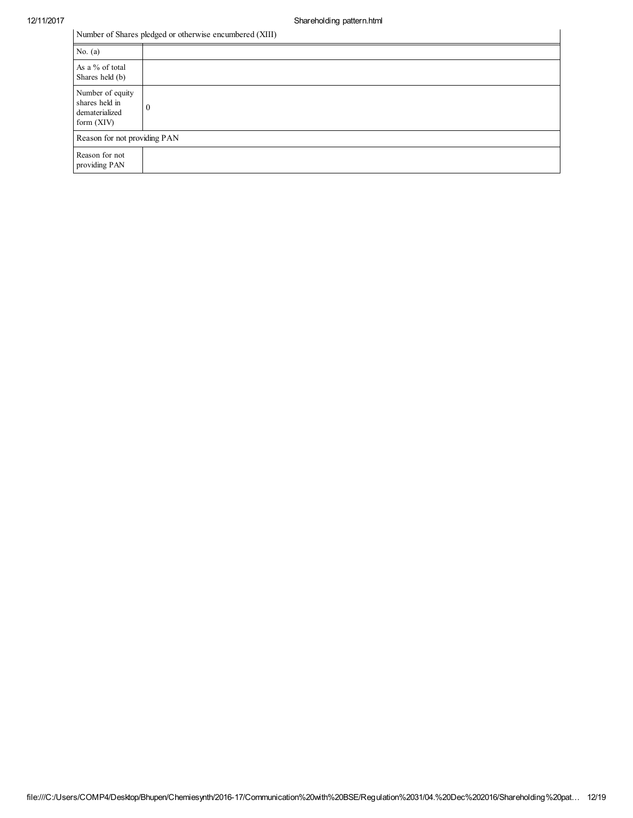|  | Number of Shares pledged or otherwise encumbered (XIII) |
|--|---------------------------------------------------------|
|--|---------------------------------------------------------|

| Number of Shares pledged or otherwise encumbered (XIII)              |  |  |
|----------------------------------------------------------------------|--|--|
| No. $(a)$                                                            |  |  |
| As a % of total<br>Shares held (b)                                   |  |  |
| Number of equity<br>shares held in<br>dematerialized<br>form $(XIV)$ |  |  |
| Reason for not providing PAN                                         |  |  |
| Reason for not<br>providing PAN                                      |  |  |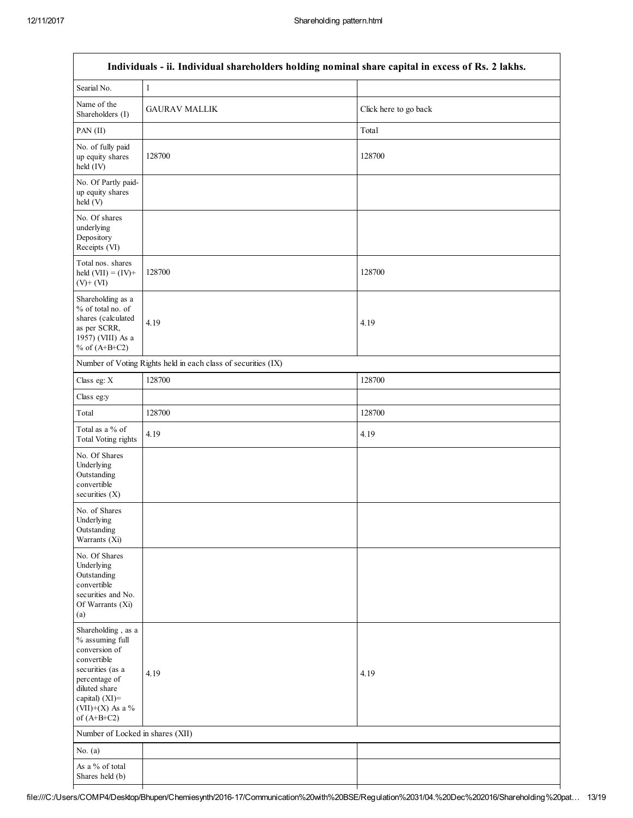| Individuals - ii. Individual shareholders holding nominal share capital in excess of Rs. 2 lakhs.                                                                                  |                                  |                       |  |  |  |
|------------------------------------------------------------------------------------------------------------------------------------------------------------------------------------|----------------------------------|-----------------------|--|--|--|
| Searial No.                                                                                                                                                                        | $\mathbf{1}$                     |                       |  |  |  |
| Name of the<br>Shareholders (I)                                                                                                                                                    | <b>GAURAV MALLIK</b>             | Click here to go back |  |  |  |
| PAN (II)                                                                                                                                                                           |                                  | Total                 |  |  |  |
| No. of fully paid<br>up equity shares<br>held (IV)                                                                                                                                 | 128700                           | 128700                |  |  |  |
| No. Of Partly paid-<br>up equity shares<br>held (V)                                                                                                                                |                                  |                       |  |  |  |
| No. Of shares<br>underlying<br>Depository<br>Receipts (VI)                                                                                                                         |                                  |                       |  |  |  |
| Total nos. shares<br>held $(VII) = (IV) +$<br>$(V)$ + $(VI)$                                                                                                                       | 128700                           | 128700                |  |  |  |
| Shareholding as a<br>% of total no. of<br>shares (calculated<br>as per SCRR,<br>1957) (VIII) As a<br>% of $(A+B+C2)$                                                               | 4.19                             | 4.19                  |  |  |  |
| Number of Voting Rights held in each class of securities (IX)                                                                                                                      |                                  |                       |  |  |  |
| Class eg: X                                                                                                                                                                        | 128700                           | 128700                |  |  |  |
| Class eg:y                                                                                                                                                                         |                                  |                       |  |  |  |
| Total                                                                                                                                                                              | 128700                           | 128700                |  |  |  |
| Total as a % of<br>Total Voting rights                                                                                                                                             | 4.19                             | 4.19                  |  |  |  |
| No. Of Shares<br>Underlying<br>Outstanding<br>convertible<br>securities $(X)$                                                                                                      |                                  |                       |  |  |  |
| No. of Shares<br>Underlying<br>Outstanding<br>Warrants (Xi)                                                                                                                        |                                  |                       |  |  |  |
| No. Of Shares<br>Underlying<br>Outstanding<br>convertible<br>securities and No.<br>Of Warrants (Xi)<br>(a)                                                                         |                                  |                       |  |  |  |
| Shareholding, as a<br>% assuming full<br>conversion of<br>convertible<br>securities (as a<br>percentage of<br>diluted share<br>capital) (XI)=<br>(VII)+(X) As a %<br>of $(A+B+C2)$ | 4.19                             | 4.19                  |  |  |  |
|                                                                                                                                                                                    | Number of Locked in shares (XII) |                       |  |  |  |
| No. $(a)$                                                                                                                                                                          |                                  |                       |  |  |  |
| As a % of total<br>Shares held (b)                                                                                                                                                 |                                  |                       |  |  |  |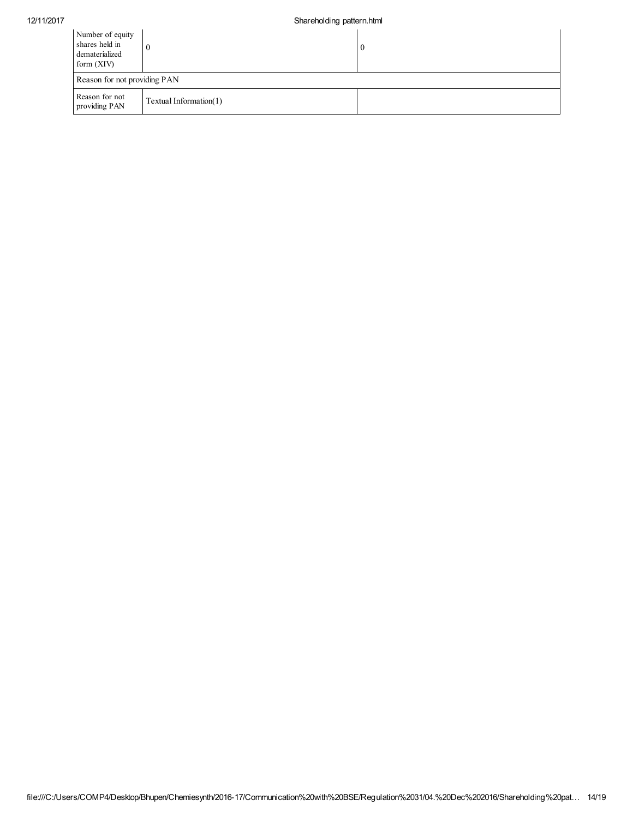| Number of equity<br>shares held in<br>dematerialized<br>form $(XIV)$ |                        | $\bf{0}$ |  |
|----------------------------------------------------------------------|------------------------|----------|--|
| Reason for not providing PAN                                         |                        |          |  |
| Reason for not<br>providing PAN                                      | Textual Information(1) |          |  |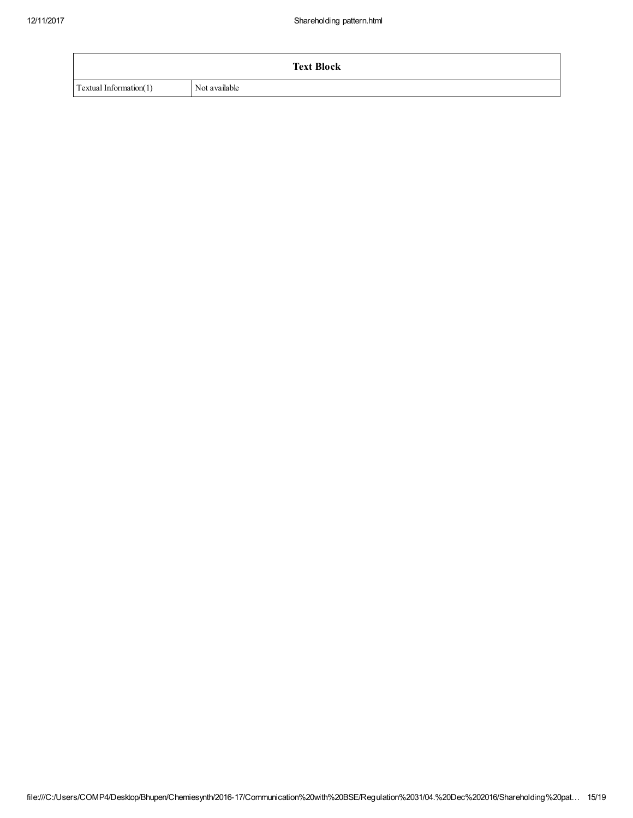|                        | <b>Text Block</b> |
|------------------------|-------------------|
| Textual Information(1) | Not available     |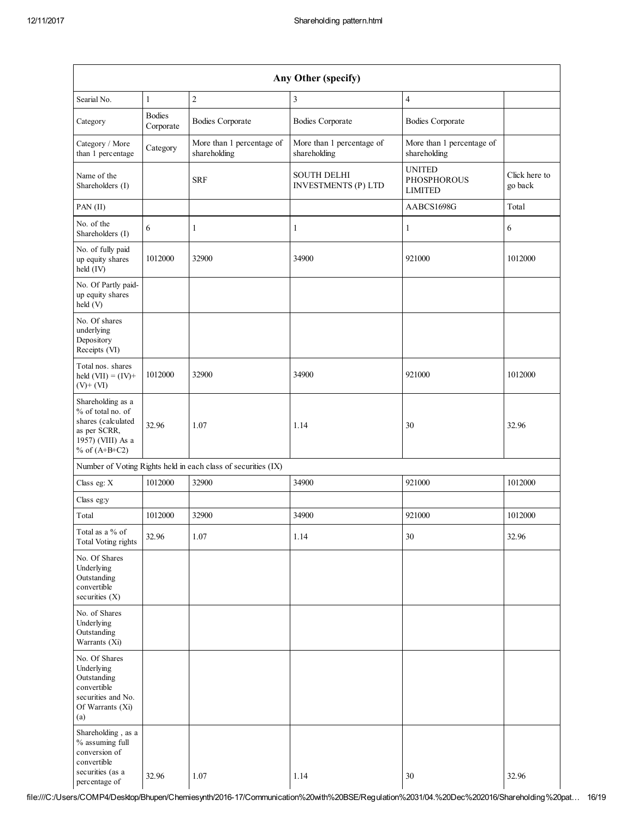| Any Other (specify)                                                                                                  |                            |                                                               |                                                  |                                                       |                          |
|----------------------------------------------------------------------------------------------------------------------|----------------------------|---------------------------------------------------------------|--------------------------------------------------|-------------------------------------------------------|--------------------------|
| Searial No.                                                                                                          | $\mathbf{1}$               | $\sqrt{2}$                                                    | 3                                                | $\overline{4}$                                        |                          |
| Category                                                                                                             | <b>Bodies</b><br>Corporate | <b>Bodies Corporate</b>                                       | <b>Bodies Corporate</b>                          | <b>Bodies Corporate</b>                               |                          |
| Category / More<br>than 1 percentage                                                                                 | Category                   | More than 1 percentage of<br>shareholding                     | More than 1 percentage of<br>shareholding        | More than 1 percentage of<br>shareholding             |                          |
| Name of the<br>Shareholders (I)                                                                                      |                            | <b>SRF</b>                                                    | <b>SOUTH DELHI</b><br><b>INVESTMENTS (P) LTD</b> | <b>UNITED</b><br><b>PHOSPHOROUS</b><br><b>LIMITED</b> | Click here to<br>go back |
| $PAN$ (II)                                                                                                           |                            |                                                               |                                                  | AABCS1698G                                            | Total                    |
| No. of the<br>Shareholders (I)                                                                                       | 6                          | 1                                                             | 1                                                | $\mathbf{1}$                                          | 6                        |
| No. of fully paid<br>up equity shares<br>held (IV)                                                                   | 1012000                    | 32900                                                         | 34900                                            | 921000                                                | 1012000                  |
| No. Of Partly paid-<br>up equity shares<br>held (V)                                                                  |                            |                                                               |                                                  |                                                       |                          |
| No. Of shares<br>underlying<br>Depository<br>Receipts (VI)                                                           |                            |                                                               |                                                  |                                                       |                          |
| Total nos. shares<br>held $(VII) = (IV) +$<br>$(V)$ + $(VI)$                                                         | 1012000                    | 32900                                                         | 34900                                            | 921000                                                | 1012000                  |
| Shareholding as a<br>% of total no. of<br>shares (calculated<br>as per SCRR,<br>1957) (VIII) As a<br>% of $(A+B+C2)$ | 32.96                      | 1.07                                                          | 1.14                                             | 30                                                    | 32.96                    |
|                                                                                                                      |                            | Number of Voting Rights held in each class of securities (IX) |                                                  |                                                       |                          |
| Class eg: X                                                                                                          | 1012000                    | 32900                                                         | 34900                                            | 921000                                                | 1012000                  |
| Class eg:y                                                                                                           |                            |                                                               |                                                  |                                                       |                          |
| Total                                                                                                                | 1012000                    | 32900                                                         | 34900                                            | 921000                                                | 1012000                  |
| Total as a % of<br>Total Voting rights                                                                               | 32.96                      | 1.07                                                          | 1.14                                             | 30                                                    | 32.96                    |
| No. Of Shares<br>Underlying<br>Outstanding<br>convertible<br>securities (X)                                          |                            |                                                               |                                                  |                                                       |                          |
| No. of Shares<br>Underlying<br>Outstanding<br>Warrants (Xi)                                                          |                            |                                                               |                                                  |                                                       |                          |
| No. Of Shares<br>Underlying<br>Outstanding<br>convertible<br>securities and No.<br>Of Warrants (Xi)<br>(a)           |                            |                                                               |                                                  |                                                       |                          |
| Shareholding , as a<br>% assuming full<br>conversion of<br>convertible<br>securities (as a<br>percentage of          | 32.96                      | 1.07                                                          | 1.14                                             | 30                                                    | 32.96                    |

file:///C:/Users/COMP4/Desktop/Bhupen/Chemiesynth/2016-17/Communication%20with%20BSE/Regulation%2031/04.%20Dec%202016/Shareholding%20pat… 16/19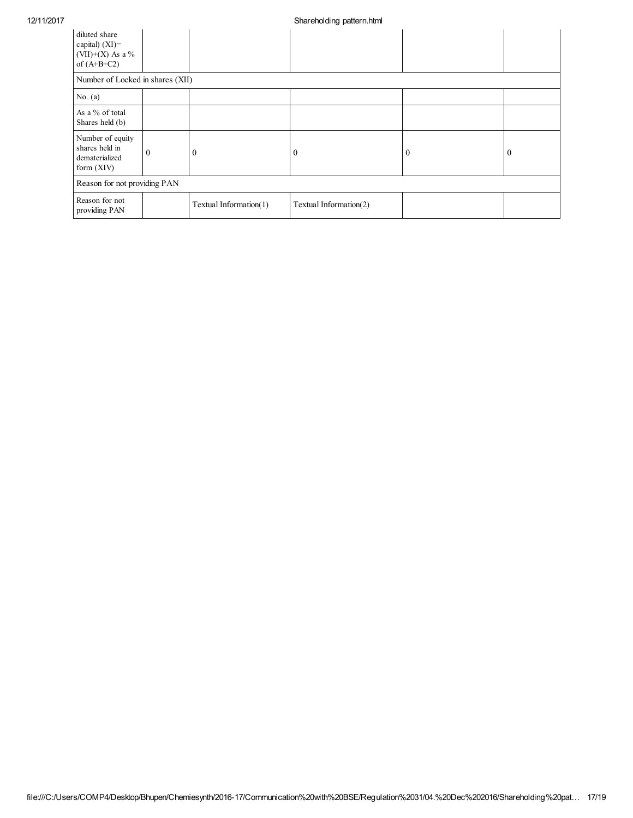| diluted share<br>capital) $(XI)$ =<br>(VII)+(X) As a $%$<br>of $(A+B+C2)$ |          |                        |                        |              |                |
|---------------------------------------------------------------------------|----------|------------------------|------------------------|--------------|----------------|
| Number of Locked in shares (XII)                                          |          |                        |                        |              |                |
| No. $(a)$                                                                 |          |                        |                        |              |                |
| As a % of total<br>Shares held (b)                                        |          |                        |                        |              |                |
| Number of equity<br>shares held in<br>dematerialized<br>form $(XIV)$      | $\theta$ | $\theta$               | $\theta$               | $\mathbf{0}$ | $\overline{0}$ |
| Reason for not providing PAN                                              |          |                        |                        |              |                |
| Reason for not<br>providing PAN                                           |          | Textual Information(1) | Textual Information(2) |              |                |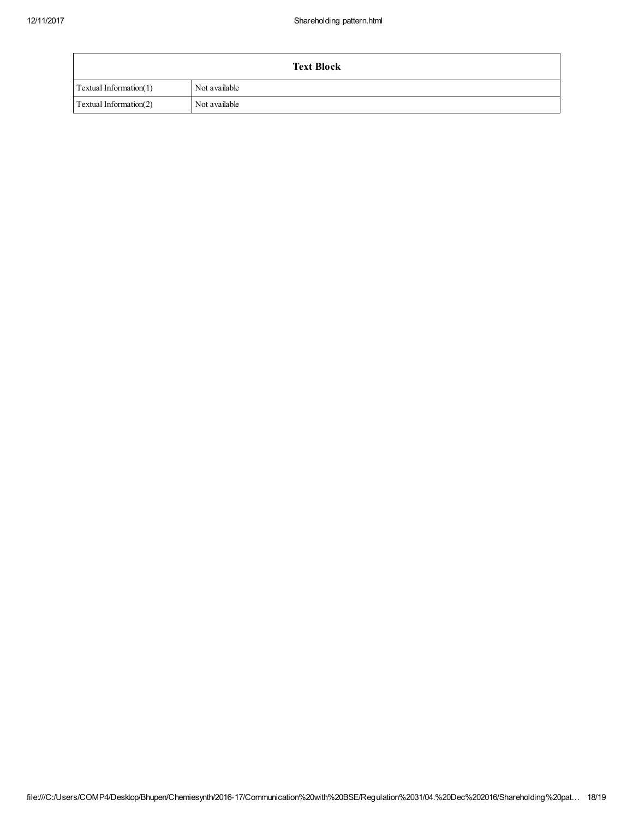| <b>Text Block</b>      |               |  |
|------------------------|---------------|--|
| Textual Information(1) | Not available |  |
| Textual Information(2) | Not available |  |